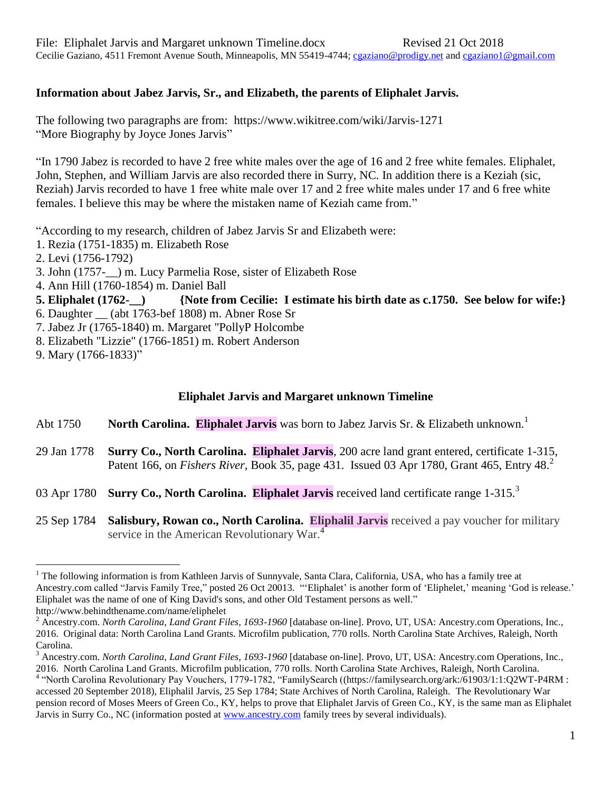## **Information about Jabez Jarvis, Sr., and Elizabeth, the parents of Eliphalet Jarvis.**

The following two paragraphs are from: https://www.wikitree.com/wiki/Jarvis-1271 "More Biography by Joyce Jones Jarvis"

"In 1790 Jabez is recorded to have 2 free white males over the age of 16 and 2 free white females. Eliphalet, John, Stephen, and William Jarvis are also recorded there in Surry, NC. In addition there is a Keziah (sic, Reziah) Jarvis recorded to have 1 free white male over 17 and 2 free white males under 17 and 6 free white females. I believe this may be where the mistaken name of Keziah came from."

"According to my research, children of Jabez Jarvis Sr and Elizabeth were:

1. Rezia (1751-1835) m. Elizabeth Rose

- 2. Levi (1756-1792)
- 3. John (1757-\_\_) m. Lucy Parmelia Rose, sister of Elizabeth Rose
- 4. Ann Hill (1760-1854) m. Daniel Ball
- **5. Eliphalet (1762-\_\_) {Note from Cecilie: I estimate his birth date as c.1750. See below for wife:}**
- 6. Daughter \_\_ (abt 1763-bef 1808) m. Abner Rose Sr
- 7. Jabez Jr (1765-1840) m. Margaret "PollyP Holcombe
- 8. Elizabeth "Lizzie" (1766-1851) m. Robert Anderson

 $\overline{a}$ 

## **Eliphalet Jarvis and Margaret unknown Timeline**

- Abt 1750 **North Carolina. Eliphalet Jarvis** was born to Jabez Jarvis Sr. & Elizabeth unknown.<sup>1</sup>
- 29 Jan 1778 **Surry Co., North Carolina. Eliphalet Jarvis**, 200 acre land grant entered, certificate 1-315, Patent 166, on *Fishers River*, Book 35, page 431. Issued 03 Apr 1780, Grant 465, Entry 48.<sup>2</sup>
- 03 Apr 1780 **Surry Co., North Carolina. Eliphalet Jarvis** received land certificate range 1-315.<sup>3</sup>
- 25 Sep 1784 **Salisbury, Rowan co., North Carolina. Eliphalil Jarvis** received a pay voucher for military service in the American Revolutionary War.<sup>4</sup>

<sup>9.</sup> Mary (1766-1833)"

<sup>&</sup>lt;sup>1</sup> The following information is from Kathleen Jarvis of Sunnyvale, Santa Clara, California, USA, who has a family tree at Ancestry.com called "Jarvis Family Tree," posted 26 Oct 20013. "'Eliphalet' is another form of 'Eliphelet,' meaning 'God is release.' Eliphalet was the name of one of King David's sons, and other Old Testament persons as well." http://www.behindthename.com/name/eliphelet

<sup>2</sup> Ancestry.com. *North Carolina, Land Grant Files, 1693-1960* [database on-line]. Provo, UT, USA: Ancestry.com Operations, Inc., 2016. Original data: North Carolina Land Grants. Microfilm publication, 770 rolls. North Carolina State Archives, Raleigh, North Carolina.

<sup>3</sup> Ancestry.com. *North Carolina, Land Grant Files, 1693-1960* [database on-line]. Provo, UT, USA: Ancestry.com Operations, Inc., 2016. North Carolina Land Grants. Microfilm publication, 770 rolls. North Carolina State Archives, Raleigh, North Carolina. 4 "North Carolina Revolutionary Pay Vouchers, 1779-1782, "FamilySearch ((https://familysearch.org/ark:/61903/1:1:Q2WT-P4RM : accessed 20 September 2018), Eliphalil Jarvis, 25 Sep 1784; State Archives of North Carolina, Raleigh. The Revolutionary War pension record of Moses Meers of Green Co., KY, helps to prove that Eliphalet Jarvis of Green Co., KY, is the same man as Eliphalet Jarvis in Surry Co., NC (information posted at [www.ancestry.com](http://www.ancestry.com/) family trees by several individuals).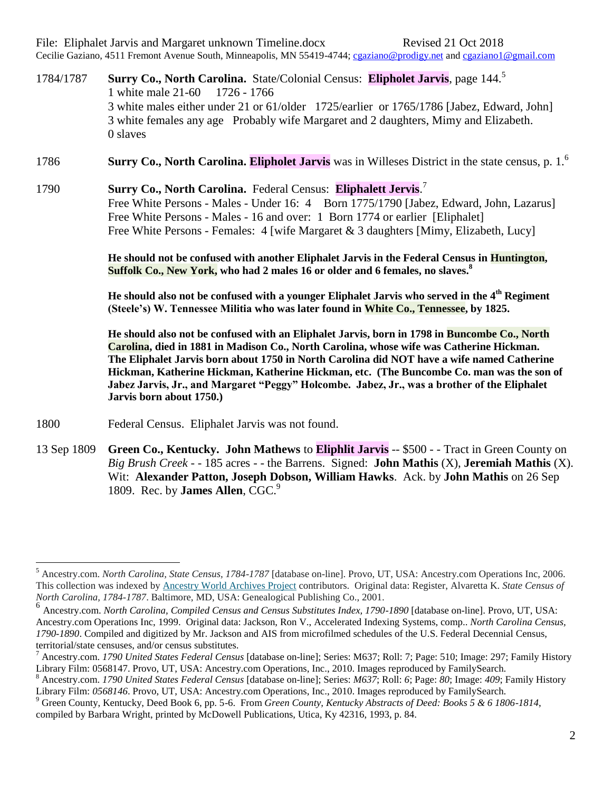File: Eliphalet Jarvis and Margaret unknown Timeline.docx Revised 21 Oct 2018 Cecilie Gaziano, 4511 Fremont Avenue South, Minneapolis, MN 55419-4744; [cgaziano@prodigy.net](mailto:cgaziano@prodigy.net) and [cgaziano1@gmail.com](mailto:cgaziano1@gmail.com)

1784/1787 **Surry Co., North Carolina.** State/Colonial Census: **Elipholet Jarvis**, page 144. 5 1 white male 21-60 1726 - 1766 3 white males either under 21 or 61/older 1725/earlier or 1765/1786 [Jabez, Edward, John] 3 white females any age Probably wife Margaret and 2 daughters, Mimy and Elizabeth. 0 slaves

1786 **Surry Co., North Carolina. Elipholet Jarvis** was in Willeses District in the state census, p. 1.<sup>6</sup>

1790 **Surry Co., North Carolina.** Federal Census: **Eliphalett Jervis**. 7 Free White Persons - Males - Under 16: 4 Born 1775/1790 [Jabez, Edward, John, Lazarus] Free White Persons - Males - 16 and over: 1 Born 1774 or earlier [Eliphalet] Free White Persons - Females: 4 [wife Margaret & 3 daughters [Mimy, Elizabeth, Lucy]

> **He should not be confused with another Eliphalet Jarvis in the Federal Census in Huntington, Suffolk Co., New York, who had 2 males 16 or older and 6 females, no slaves.<sup>8</sup>**

> He should also not be confused with a younger Eliphalet Jarvis who served in the 4<sup>th</sup> Regiment **(Steele's) W. Tennessee Militia who was later found in White Co., Tennessee, by 1825.**

**He should also not be confused with an Eliphalet Jarvis, born in 1798 in Buncombe Co., North Carolina, died in 1881 in Madison Co., North Carolina, whose wife was Catherine Hickman. The Eliphalet Jarvis born about 1750 in North Carolina did NOT have a wife named Catherine Hickman, Katherine Hickman, Katherine Hickman, etc. (The Buncombe Co. man was the son of Jabez Jarvis, Jr., and Margaret "Peggy" Holcombe. Jabez, Jr., was a brother of the Eliphalet Jarvis born about 1750.)**

1800 Federal Census. Eliphalet Jarvis was not found.

 $\overline{a}$ 

13 Sep 1809 **Green Co., Kentucky. John Mathews** to **Eliphlit Jarvis** -- \$500 - - Tract in Green County on *Big Brush Creek* - - 185 acres - - the Barrens. Signed: **John Mathis** (X), **Jeremiah Mathis** (X). Wit: **Alexander Patton, Joseph Dobson, William Hawks**. Ack. by **John Mathis** on 26 Sep 1809. Rec. by **James Allen**, CGC.<sup>9</sup>

<sup>5</sup> Ancestry.com. *North Carolina, State Census, 1784-1787* [database on-line]. Provo, UT, USA: Ancestry.com Operations Inc, 2006. This collection was indexed by [Ancestry World Archives Project](http://www.ancestry.com/handler/domainrd.ashx?Domain=CommunityDomain&url=/wap/dashboard.aspx) contributors. Original data: Register, Alvaretta K. *State Census of North Carolina, 1784-1787*. Baltimore, MD, USA: Genealogical Publishing Co., 2001.

<sup>6</sup> Ancestry.com. *North Carolina, Compiled Census and Census Substitutes Index, 1790-1890* [database on-line]. Provo, UT, USA: Ancestry.com Operations Inc, 1999. Original data: Jackson, Ron V., Accelerated Indexing Systems, comp.. *North Carolina Census, 1790-1890*. Compiled and digitized by Mr. Jackson and AIS from microfilmed schedules of the U.S. Federal Decennial Census, territorial/state censuses, and/or census substitutes.

<sup>7</sup> Ancestry.com. *1790 United States Federal Census* [database on-line]; Series: M637; Roll: 7; Page: 510; Image: 297; Family History Library Film: 0568147. Provo, UT, USA: Ancestry.com Operations, Inc., 2010. Images reproduced by FamilySearch.

<sup>8</sup> Ancestry.com. *1790 United States Federal Census* [database on-line]; Series: *M637*; Roll: *6*; Page: *80*; Image: *409*; Family History Library Film:  $0.0568146$ . Provo, UT, USA: Ancestry.com Operations, Inc., 2010. Images reproduced by FamilySearch.

<sup>9</sup> Green County, Kentucky, Deed Book 6, pp. 5-6. From *Green County, Kentucky Abstracts of Deed: Books 5 & 6 1806-1814*, compiled by Barbara Wright, printed by McDowell Publications, Utica, Ky 42316, 1993, p. 84.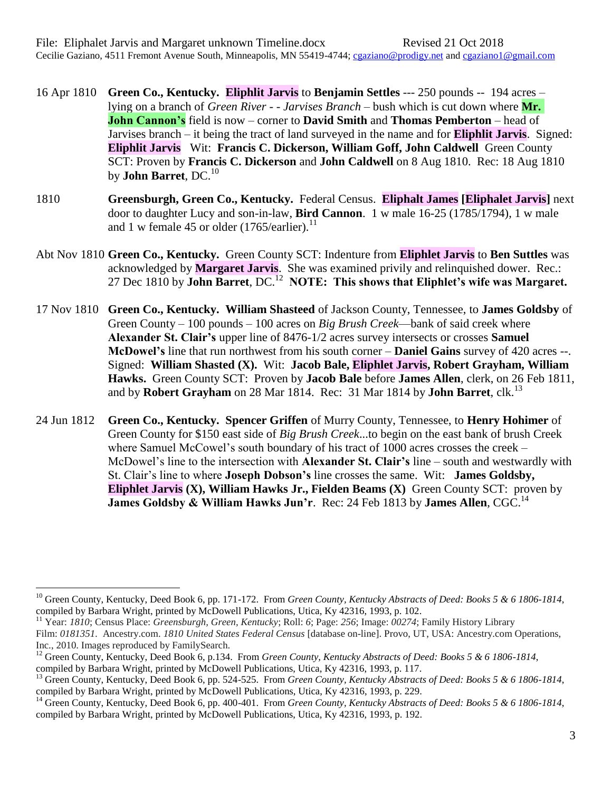16 Apr 1810 **Green Co., Kentucky. Eliphlit Jarvis** to **Benjamin Settles** --- 250 pounds -- 194 acres – lying on a branch of *Green River - - Jarvises Branch* – bush which is cut down where **Mr. John Cannon's** field is now – corner to **David Smith** and **Thomas Pemberton** – head of Jarvises branch – it being the tract of land surveyed in the name and for **Eliphlit Jarvis**. Signed: **Eliphlit Jarvis** Wit: **Francis C. Dickerson, William Goff, John Caldwell** Green County SCT: Proven by **Francis C. Dickerson** and **John Caldwell** on 8 Aug 1810. Rec: 18 Aug 1810 by **John Barret**, DC.<sup>10</sup>

- 1810 **Greensburgh, Green Co., Kentucky.** Federal Census. **Eliphalt James [Eliphalet Jarvis]** next door to daughter Lucy and son-in-law, **Bird Cannon**. 1 w male 16-25 (1785/1794), 1 w male and 1 w female 45 or older (1765/earlier).<sup>11</sup>
- Abt Nov 1810 **Green Co., Kentucky.** Green County SCT: Indenture from **Eliphlet Jarvis** to **Ben Suttles** was acknowledged by **Margaret Jarvis**. She was examined privily and relinquished dower. Rec.: 27 Dec 1810 by **John Barret**, DC.<sup>12</sup> NOTE: This shows that Eliphlet's wife was Margaret.
- 17 Nov 1810 **Green Co., Kentucky. William Shasteed** of Jackson County, Tennessee, to **James Goldsby** of Green County – 100 pounds – 100 acres on *Big Brush Creek*—bank of said creek where **Alexander St. Clair's** upper line of 8476-1/2 acres survey intersects or crosses **Samuel McDowel's** line that run northwest from his south corner – **Daniel Gains** survey of 420 acres --. Signed: **William Shasted (X).** Wit: **Jacob Bale, Eliphlet Jarvis, Robert Grayham, William Hawks.** Green County SCT: Proven by **Jacob Bale** before **James Allen**, clerk, on 26 Feb 1811, and by **Robert Grayham** on 28 Mar 1814. Rec: 31 Mar 1814 by **John Barret**, clk.<sup>13</sup>
- 24 Jun 1812 **Green Co., Kentucky. Spencer Griffen** of Murry County, Tennessee, to **Henry Hohimer** of Green County for \$150 east side of *Big Brush Creek*...to begin on the east bank of brush Creek where Samuel McCowel's south boundary of his tract of 1000 acres crosses the creek – McDowel's line to the intersection with **Alexander St. Clair's** line – south and westwardly with St. Clair's line to where **Joseph Dobson's** line crosses the same. Wit: **James Goldsby, Eliphlet Jarvis (X), William Hawks Jr., Fielden Beams (X)** Green County SCT: proven by **James Goldsby & William Hawks Jun'r.** Rec: 24 Feb 1813 by **James Allen**, CGC.<sup>14</sup>

 $\overline{a}$ <sup>10</sup> Green County, Kentucky, Deed Book 6, pp. 171-172. From *Green County, Kentucky Abstracts of Deed: Books 5 & 6 1806-1814*, compiled by Barbara Wright, printed by McDowell Publications, Utica, Ky 42316, 1993, p. 102.

<sup>11</sup> Year: *1810*; Census Place: *Greensburgh, Green, Kentucky*; Roll: *6*; Page: *256*; Image: *00274*; Family History Library Film: *0181351.* Ancestry.com. *1810 United States Federal Census* [database on-line]. Provo, UT, USA: Ancestry.com Operations, Inc., 2010. Images reproduced by FamilySearch.

<sup>&</sup>lt;sup>12</sup> Green County, Kentucky, Deed Book 6, p.134. From *Green County, Kentucky Abstracts of Deed: Books 5 & 6 1806-1814*, compiled by Barbara Wright, printed by McDowell Publications, Utica, Ky 42316, 1993, p. 117.

<sup>&</sup>lt;sup>13</sup> Green County, Kentucky, Deed Book 6, pp. 524-525. From *Green County, Kentucky Abstracts of Deed: Books 5 & 6 1806-1814*, compiled by Barbara Wright, printed by McDowell Publications, Utica, Ky 42316, 1993, p. 229.

<sup>&</sup>lt;sup>14</sup> Green County, Kentucky, Deed Book 6, pp. 400-401. From *Green County, Kentucky Abstracts of Deed: Books 5 & 6 1806-1814*, compiled by Barbara Wright, printed by McDowell Publications, Utica, Ky 42316, 1993, p. 192.